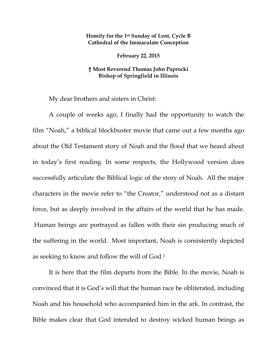## **Homily for the 1st Sunday of Lent, Cycle B Cathedral of the Immaculate Conception**

**February 22, 2015** 

## **† Most Reverend Thomas John Paprocki Bishop of Springfield in Illinois**

My dear brothers and sisters in Christ:

A couple of weeks ago, I finally had the opportunity to watch the film "Noah," a biblical blockbuster movie that came out a few months ago about the Old Testament story of Noah and the flood that we heard about in today's first reading. In some respects, the Hollywood version does successfully articulate the Biblical logic of the story of Noah. All the major characters in the movie refer to "the Creator," understood not as a distant force, but as deeply involved in the affairs of the world that he has made. Human beings are portrayed as fallen with their sin producing much of the suffering in the world. Most important, Noah is consistently depicted as seeking to know and follow the will of God.1

It is here that the film departs from the Bible. In the movie, Noah is convinced that it is God's will that the human race be obliterated, including Noah and his household who accompanied him in the ark. In contrast, the Bible makes clear that God intended to destroy wicked human beings as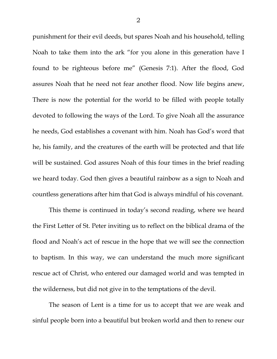punishment for their evil deeds, but spares Noah and his household, telling Noah to take them into the ark "for you alone in this generation have I found to be righteous before me" (Genesis 7:1). After the flood, God assures Noah that he need not fear another flood. Now life begins anew, There is now the potential for the world to be filled with people totally devoted to following the ways of the Lord. To give Noah all the assurance he needs, God establishes a covenant with him. Noah has God's word that he, his family, and the creatures of the earth will be protected and that life will be sustained. God assures Noah of this four times in the brief reading we heard today. God then gives a beautiful rainbow as a sign to Noah and countless generations after him that God is always mindful of his covenant.

This theme is continued in today's second reading, where we heard the First Letter of St. Peter inviting us to reflect on the biblical drama of the flood and Noah's act of rescue in the hope that we will see the connection to baptism. In this way, we can understand the much more significant rescue act of Christ, who entered our damaged world and was tempted in the wilderness, but did not give in to the temptations of the devil.

The season of Lent is a time for us to accept that we are weak and sinful people born into a beautiful but broken world and then to renew our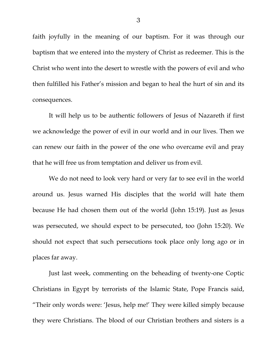faith joyfully in the meaning of our baptism. For it was through our baptism that we entered into the mystery of Christ as redeemer. This is the Christ who went into the desert to wrestle with the powers of evil and who then fulfilled his Father's mission and began to heal the hurt of sin and its consequences.

It will help us to be authentic followers of Jesus of Nazareth if first we acknowledge the power of evil in our world and in our lives. Then we can renew our faith in the power of the one who overcame evil and pray that he will free us from temptation and deliver us from evil.

We do not need to look very hard or very far to see evil in the world around us. Jesus warned His disciples that the world will hate them because He had chosen them out of the world (John 15:19). Just as Jesus was persecuted, we should expect to be persecuted, too (John 15:20). We should not expect that such persecutions took place only long ago or in places far away.

Just last week, commenting on the beheading of twenty-one Coptic Christians in Egypt by terrorists of the Islamic State, Pope Francis said, "Their only words were: 'Jesus, help me!' They were killed simply because they were Christians. The blood of our Christian brothers and sisters is a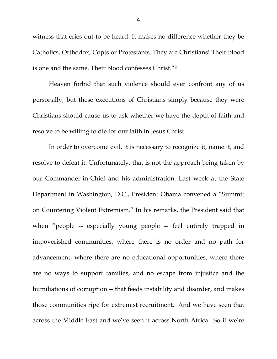witness that cries out to be heard. It makes no difference whether they be Catholics, Orthodox, Copts or Protestants. They are Christians! Their blood is one and the same. Their blood confesses Christ."2

Heaven forbid that such violence should ever confront any of us personally, but these executions of Christians simply because they were Christians should cause us to ask whether we have the depth of faith and resolve to be willing to die for our faith in Jesus Christ.

In order to overcome evil, it is necessary to recognize it, name it, and resolve to defeat it. Unfortunately, that is not the approach being taken by our Commander-in-Chief and his administration. Last week at the State Department in Washington, D.C., President Obama convened a "Summit on Countering Violent Extremism." In his remarks, the President said that when "people -- especially young people -- feel entirely trapped in impoverished communities, where there is no order and no path for advancement, where there are no educational opportunities, where there are no ways to support families, and no escape from injustice and the humiliations of corruption -- that feeds instability and disorder, and makes those communities ripe for extremist recruitment. And we have seen that across the Middle East and we've seen it across North Africa. So if we're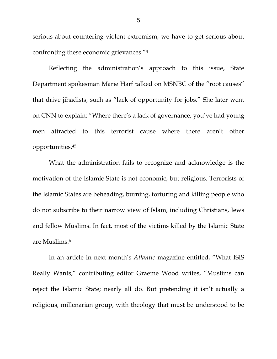serious about countering violent extremism, we have to get serious about confronting these economic grievances."3

Reflecting the administration's approach to this issue, State Department spokesman Marie Harf talked on MSNBC of the "root causes" that drive jihadists, such as "lack of opportunity for jobs." She later went on CNN to explain: "Where there's a lack of governance, you've had young men attracted to this terrorist cause where there aren't other opportunities.45

What the administration fails to recognize and acknowledge is the motivation of the Islamic State is not economic, but religious. Terrorists of the Islamic States are beheading, burning, torturing and killing people who do not subscribe to their narrow view of Islam, including Christians, Jews and fellow Muslims. In fact, most of the victims killed by the Islamic State are Muslims.6

In an article in next month's *Atlantic* magazine entitled, "What ISIS Really Wants," contributing editor Graeme Wood writes, "Muslims can reject the Islamic State; nearly all do. But pretending it isn't actually a religious, millenarian group, with theology that must be understood to be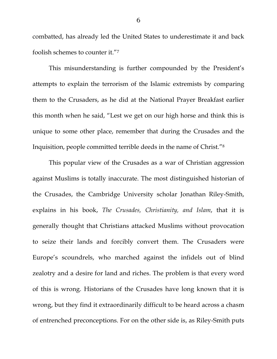combatted, has already led the United States to underestimate it and back foolish schemes to counter it."7

This misunderstanding is further compounded by the President's attempts to explain the terrorism of the Islamic extremists by comparing them to the Crusaders, as he did at the National Prayer Breakfast earlier this month when he said, "Lest we get on our high horse and think this is unique to some other place, remember that during the Crusades and the Inquisition, people committed terrible deeds in the name of Christ."8

This popular view of the Crusades as a war of Christian aggression against Muslims is totally inaccurate. The most distinguished historian of the Crusades, the Cambridge University scholar Jonathan Riley-Smith, explains in his book, *The Crusades, Christianity, and Islam*, that it is generally thought that Christians attacked Muslims without provocation to seize their lands and forcibly convert them. The Crusaders were Europe's scoundrels, who marched against the infidels out of blind zealotry and a desire for land and riches. The problem is that every word of this is wrong. Historians of the Crusades have long known that it is wrong, but they find it extraordinarily difficult to be heard across a chasm of entrenched preconceptions. For on the other side is, as Riley-Smith puts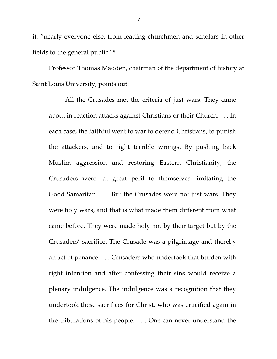it, "nearly everyone else, from leading churchmen and scholars in other fields to the general public."9

Professor Thomas Madden, chairman of the department of history at Saint Louis University*,* points out:

All the Crusades met the criteria of just wars. They came about in reaction attacks against Christians or their Church. . . . In each case, the faithful went to war to defend Christians, to punish the attackers, and to right terrible wrongs. By pushing back Muslim aggression and restoring Eastern Christianity, the Crusaders were—at great peril to themselves—imitating the Good Samaritan. . . . But the Crusades were not just wars. They were holy wars, and that is what made them different from what came before. They were made holy not by their target but by the Crusaders' sacrifice. The Crusade was a pilgrimage and thereby an act of penance. . . . Crusaders who undertook that burden with right intention and after confessing their sins would receive a plenary indulgence. The indulgence was a recognition that they undertook these sacrifices for Christ, who was crucified again in the tribulations of his people. . . . One can never understand the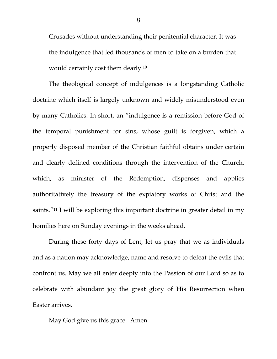Crusades without understanding their penitential character. It was the indulgence that led thousands of men to take on a burden that would certainly cost them dearly.10

The theological concept of indulgences is a longstanding Catholic doctrine which itself is largely unknown and widely misunderstood even by many Catholics. In short, an "indulgence is a remission before God of the temporal punishment for sins, whose guilt is forgiven, which a properly disposed member of the Christian faithful obtains under certain and clearly defined conditions through the intervention of the Church, which, as minister of the Redemption, dispenses and applies authoritatively the treasury of the expiatory works of Christ and the saints."11 I will be exploring this important doctrine in greater detail in my homilies here on Sunday evenings in the weeks ahead.

During these forty days of Lent, let us pray that we as individuals and as a nation may acknowledge, name and resolve to defeat the evils that confront us. May we all enter deeply into the Passion of our Lord so as to celebrate with abundant joy the great glory of His Resurrection when Easter arrives.

May God give us this grace. Amen.